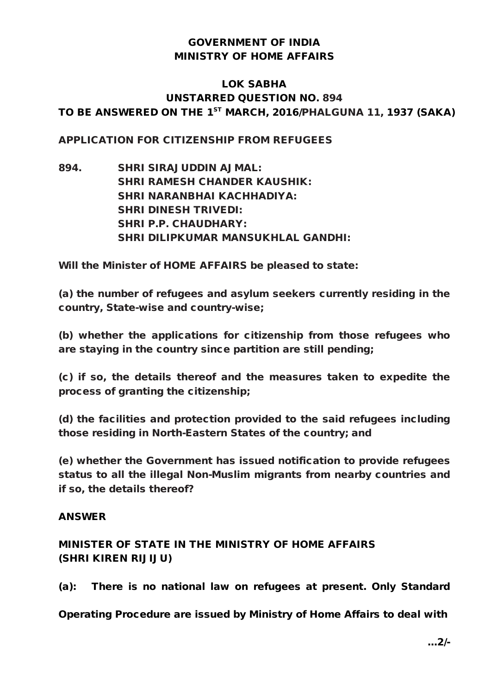## GOVERNMENT OF INDIA MINISTRY OF HOME AFFAIRS

## LOK SABHA UNSTARRED QUESTION NO. 894 TO BE ANSWERED ON THE 1<sup>ST</sup> MARCH, 2016/PHALGUNA 11, 1937 (SAKA)

### APPLICATION FOR CITIZENSHIP FROM REFUGEES

894. SHRI SIRAJUDDIN AJMAL: SHRI RAMESH CHANDER KAUSHIK: SHRI NARANBHAI KACHHADIYA: SHRI DINESH TRIVEDI: SHRI P.P. CHAUDHARY: SHRI DILIPKUMAR MANSUKHLAL GANDHI:

Will the Minister of HOME AFFAIRS be pleased to state:

(a) the number of refugees and asylum seekers currently residing in the country, State-wise and country-wise;

(b) whether the applications for citizenship from those refugees who are staying in the country since partition are still pending;

(c) if so, the details thereof and the measures taken to expedite the process of granting the citizenship;

(d) the facilities and protection provided to the said refugees including those residing in North-Eastern States of the country; and

(e) whether the Government has issued notification to provide refugees status to all the illegal Non-Muslim migrants from nearby countries and if so, the details thereof?

#### ANSWER

## MINISTER OF STATE IN THE MINISTRY OF HOME AFFAIRS (SHRI KIREN RIJIJU)

(a): There is no national law on refugees at present. Only Standard

Operating Procedure are issued by Ministry of Home Affairs to deal with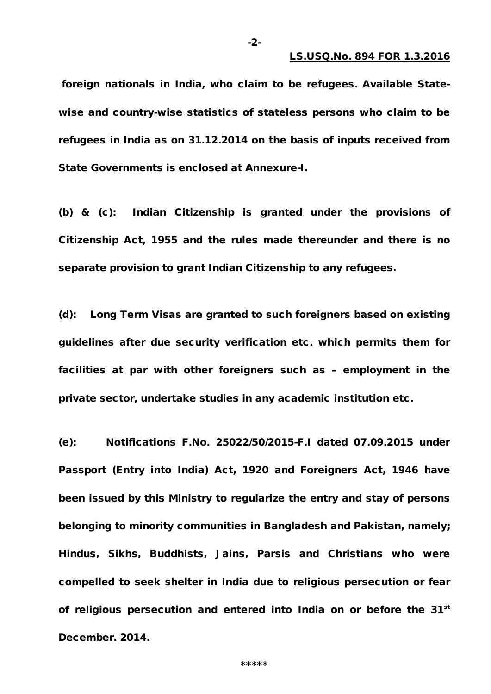foreign nationals in India, who claim to be refugees. Available Statewise and country-wise statistics of stateless persons who claim to be refugees in India as on 31.12.2014 on the basis of inputs received from State Governments is enclosed at Annexure-I.

-2-

(b) & (c): Indian Citizenship is granted under the provisions of Citizenship Act, 1955 and the rules made thereunder and there is no separate provision to grant Indian Citizenship to any refugees.

(d): Long Term Visas are granted to such foreigners based on existing guidelines after due security verification etc. which permits them for facilities at par with other foreigners such as – employment in the private sector, undertake studies in any academic institution etc.

(e): Notifications F.No. 25022/50/2015-F.I dated 07.09.2015 under Passport (Entry into India) Act, 1920 and Foreigners Act, 1946 have been issued by this Ministry to regularize the entry and stay of persons belonging to minority communities in Bangladesh and Pakistan, namely; Hindus, Sikhs, Buddhists, Jains, Parsis and Christians who were compelled to seek shelter in India due to religious persecution or fear of religious persecution and entered into India on or before the 31<sup>st</sup> December. 2014.

\*\*\*\*\*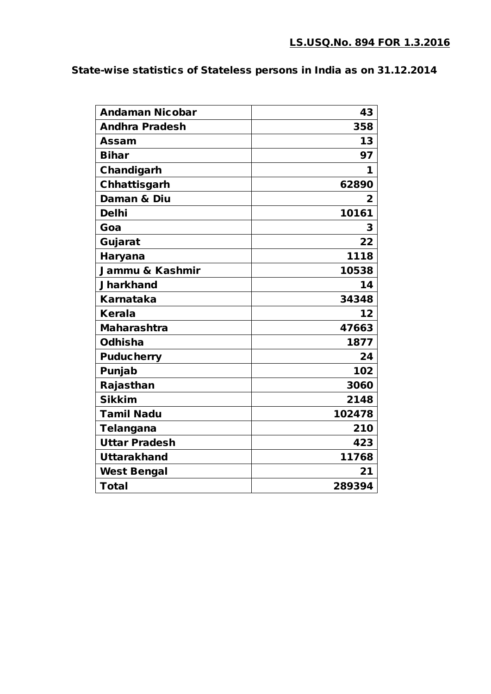# State-wise statistics of Stateless persons in India as on 31.12.2014

| <b>Andaman Nicobar</b> | 43     |
|------------------------|--------|
| <b>Andhra Pradesh</b>  | 358    |
| <b>Assam</b>           | 13     |
| <b>Bihar</b>           | 97     |
| Chandigarh             | 1      |
| Chhattisgarh           | 62890  |
| Daman & Diu            | 2      |
| <b>Delhi</b>           | 10161  |
| Goa                    | 3      |
| Gujarat                | 22     |
| <b>Haryana</b>         | 1118   |
| Jammu & Kashmir        | 10538  |
| <b>Jharkhand</b>       | 14     |
| <b>Karnataka</b>       | 34348  |
| <b>Kerala</b>          | 12     |
| <b>Maharashtra</b>     | 47663  |
| Odhisha                | 1877   |
| <b>Puducherry</b>      | 24     |
| Punjab                 | 102    |
| Rajasthan              | 3060   |
| <b>Sikkim</b>          | 2148   |
| <b>Tamil Nadu</b>      | 102478 |
| <b>Telangana</b>       | 210    |
| <b>Uttar Pradesh</b>   | 423    |
| <b>Uttarakhand</b>     | 11768  |
| <b>West Bengal</b>     | 21     |
| <b>Total</b>           | 289394 |